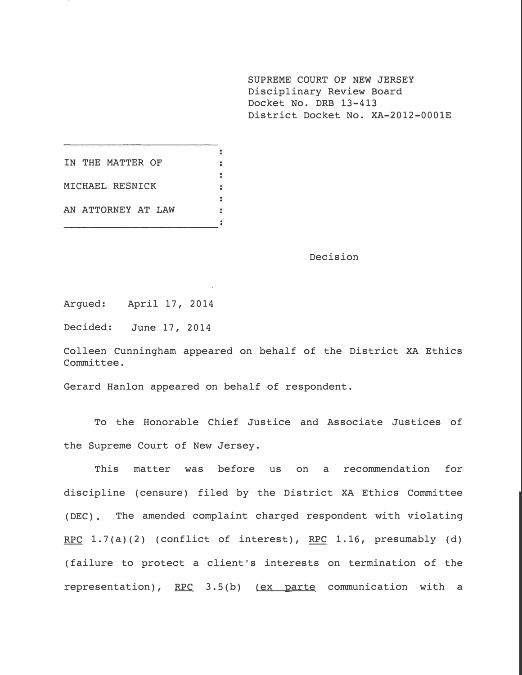SUPREME COURT OF NEW JERSEY Disciplinary Review Board Docket No. DRB 13-413 District Docket No. XA-2012-000lE

 $\overline{\mathbf{r}}$ IN THE **MATTER OF** t.  $\ddot{\cdot}$ **MICHAEL RESNICK**   $\ddot{ }$ ÷ **AN ATTORNEY AT LAW**   $\overline{\phantom{a}}$ 

Decision

Argued: April 17, 2014

Decided: June 17, 2014

Colleen Cunningham appeared on behalf of the District XA Ethics Committee.

Gerard Hanlon appeared on behalf of respondent.

To the Honorable Chief Justice and Associate Justices of the Supreme Court of New Jersey.

This matter was before us on a recommendation for discipline (censure) filed by the District XA Ethics Committee  $(DEC)$  The amended complaint charged respondent with violating RPC  $1.7(a)(2)$  (conflict of interest), RPC 1.16, presumably (d) ( failure to protect a client's interests on termination of the representation), RPC 3.S(b) (ex parte communication with a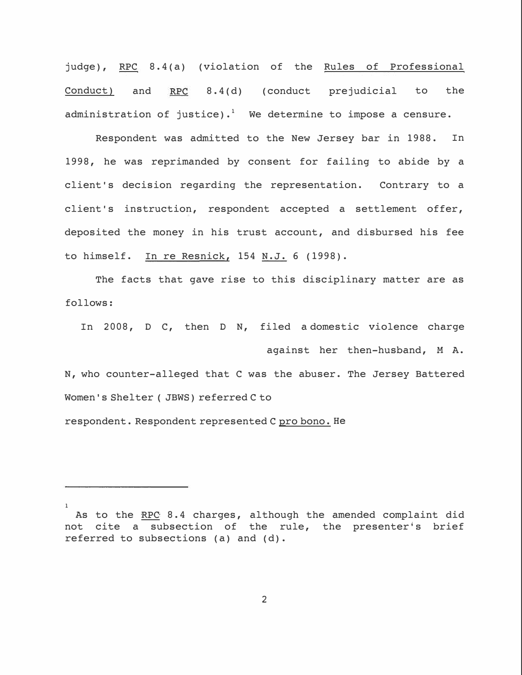judge), RPC 8.4(a) (violation of the Rules of Professional Conduct) and  $RPC = 8.4(d)$  (conduct prejudicial to the administration of justice).<sup>1</sup> We determine to impose a censure.

Respondent was admitted to the New Jersey bar in 1988. In 1998, he was reprimanded by consent for failing to abide by a client's decision regarding the representation. Contrary to a client's instruction, respondent accepted a settlement offer, deposited the money in his trust account, and disbursed his fee to himself. In re Resnick,  $154$  N.J. 6 (1998).

The facts that gave rise to this disciplinary matter are as follows:

In 2008, D C, then D N, filed a domestic violence charge

against her then-husband, M A. N, who counter-alleged that C was the abuser. The Jersey Battered Women's Shelter ( JBWS) referred C to

respondent. Respondent represented C pro bono. **He**

<sup>1</sup>  As to the RPC 8.4 charges, although the amended complaint did not cite a subsection of the rule, the presenter's brief referred to subsections (a) and (d).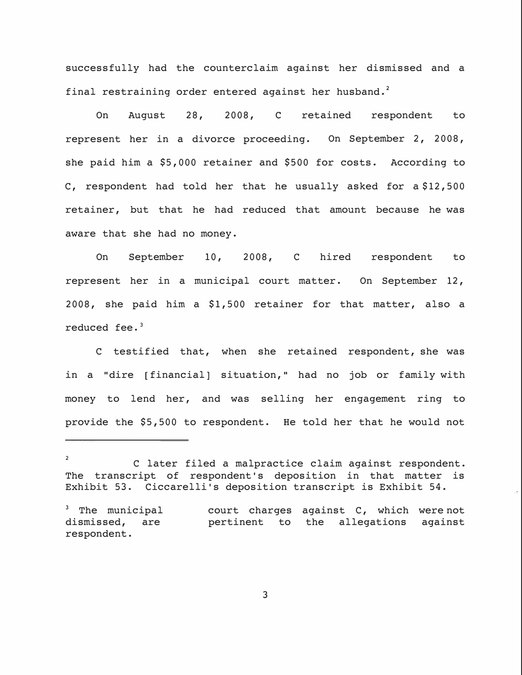successfully had the counterclaim against her dismissed and a final restraining order entered against her husband. **<sup>2</sup>**

On August 28, 2008, C retained respondent to represent her in a divorce proceeding. On September 2, 2008, she paid him a \$5,000 retainer and \$500 for costs. According to C, respondent had told her that he usually asked for a \$12,500 retainer, but that he had reduced that amount because he was aware that she had no money.

On September 10, 2008, C hired respondent to represent her in a municipal court matter. On September 12, 2008, she paid him a \$1,500 retainer for that matter, also a reduced fee. **<sup>3</sup>**

C testified that, when she retained respondent, she was in a "dire [financial] situation," had no job or family with money to lend her, and was selling her engagement ring to provide the \$5,500 to respondent. He told her that he would not

**<sup>2</sup>**  C later filed a malpractice claim against respondent. The transcript of respondent's deposition in that matter is Exhibit 53. Ciccarelli's deposition transcript is Exhibit 54.

 $3$  The municipal dismissed, are respondent. court charges against C, which were not pertinent to the allegations against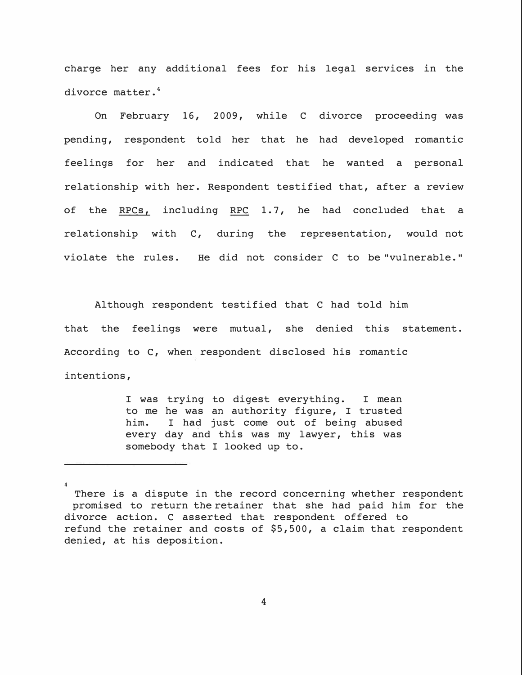charge her any additional fees for his legal services in the divorce matter.**<sup>4</sup>**

On February 16, 2009, while C divorce proceeding was pending, respondent told her that he had developed romantic feelings for her and indicated that he wanted a personal relationship with her. Respondent testified that, after a review of the RPCs, including RPC 1.7, he had concluded that a relationship with C, during the representation, would not violate the rules. He did not consider C to be "vulnerable."

Although respondent testified that C had told him that the feelings were mutual, she denied this statement. According to C, when respondent disclosed his romantic intentions,

> I was trying to digest everything. I mean to me he was an authority figure, I trusted<br>him. I had just come out of being abused I had just come out of being abused every day and this was my lawyer, this was somebody that I looked up to.

**<sup>4</sup>**  There is a dispute in the record concerning whether respondent promised to return the retainer that she had paid him for the divorce action. C asserted that respondent offered to refund the retainer and costs of \$5,500, a claim that respondent denied, at his deposition.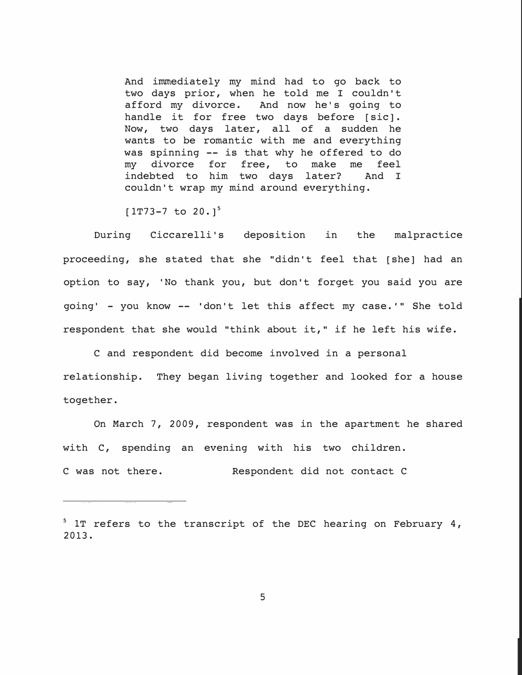And immediately my mind had to go back to two days prior, when he told me I couldn't afford my divorce. And now he's going to handle it for free two days before [sic]. Now, two days later, all of a sudden he wants to be romantic with me and everything was spinning -- is that why he offered to do my divorce for free, to make me feel indebted to him two days later? And I couldn't wrap my mind around everything.

 $[1T73-7$  to  $20.1^5$ 

During Ciccarelli's deposition in the malpractice proceeding, she stated that she "didn't feel that [she] had an option to say, 'No thank you, but don't forget you said you are going' - you know -- 'don't let this affect my case.'" She told respondent that she would "think about it," if he left his wife.

C and respondent did become involved in a personal relationship. They began living together and looked for a house together.

On March 7, 2009, respondent was in the apartment he shared with C, spending an evening with his two children. C was not there. Respondent did not contact C

**<sup>5</sup>**lT refers to the transcript of the DEC hearing on February 4, 2013.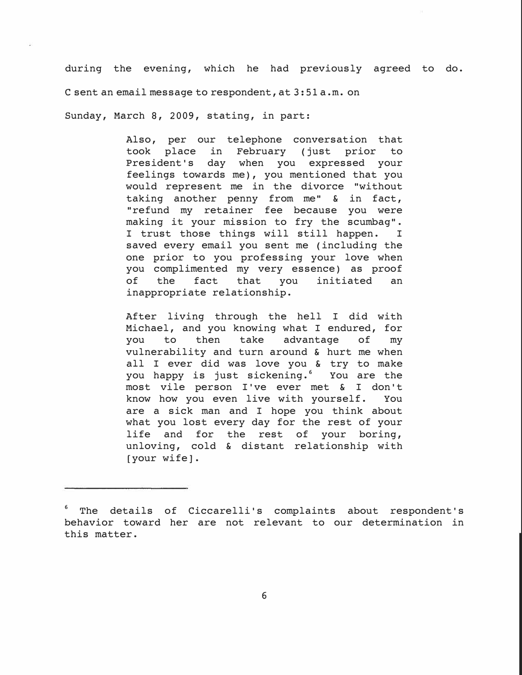during the evening, which he had previously agreed to do. C sent an email message to respondent, at 3:51 a.m. on

Sunday, March 8, 2009, stating, in part:

Also, per our telephone conversation that took place in February (just prior to President's day when you expressed your feelings towards me), you mentioned that you would represent me in the divorce "without taking another penny from me" & in fact, "refund my retainer fee because you were making it your mission to fry the scumbag".<br>I trust those things will still happen. I I trust those things will still happen. saved every email you sent me (including the one prior to you professing your love when you complimented my very essence) as proof<br>of the fact that you initiated an fact that you initiated an inappropriate relationship.

After living through the hell I did with Michael, and you knowing what I endured, for<br>you to then take advantage of my you to then take advantage of my vulnerability and turn around & hurt me when all I ever did was love you & try to make you happy is just sickening.<sup>6</sup> You are the most vile person I've ever met & I don't know how you even live with yourself. You are a sick man and I hope you think about what you lost every day for the rest of your life and for the rest of your boring, unloving, cold & distant relationship with [your wife].

<sup>&</sup>lt;sup>6</sup> The details of Ciccarelli's complaints about respondent's behavior toward her are not relevant to our determination in this matter.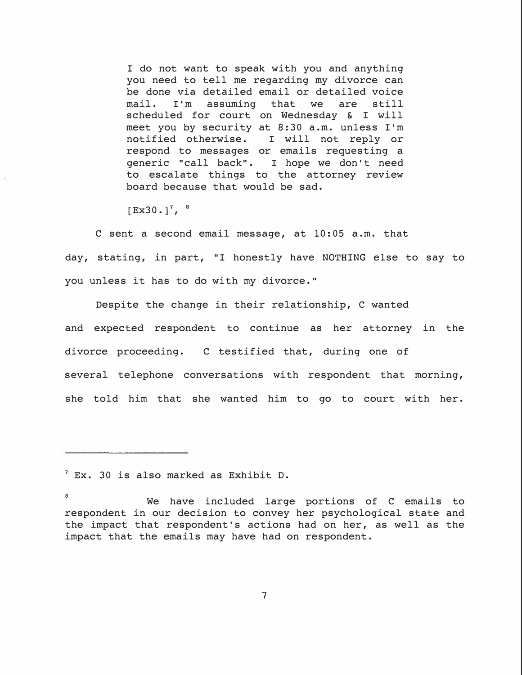I do not want to speak with you and anything you need to tell me regarding my divorce can be done via detailed email or detailed voice<br>mail. I'm assuming that we are still mail. I'm assuming that we are still scheduled for court on Wednesday & I will meet you by security at 8:30 a.m. unless I'm<br>notified otherwise. I will not reply or I will not reply or respond to messages or emails requesting a generic "call back". I hope we don't need to escalate things to the attorney review board because that would be sad.

 $[Ex30.]^7$ ,  $8$ 

C sent a second email message, at 10:05 a.m. that day, stating, in part, "I honestly have NOTHING else to say to you unless it has to do with my divorce."

Despite the change in their relationship, C wanted and expected respondent to continue as her attorney in the divorce proceeding. C testified that, during one of several telephone conversations with respondent that morning, she told him that she wanted him to go to court with her.

**<sup>7</sup>**Ex. 30 is also marked as Exhibit D.

**<sup>8</sup>**  We have included large portions of C emails to respondent in our decision to convey her psychological state and the impact that respondent's actions had on her, as well as the impact that the emails may have had on respondent.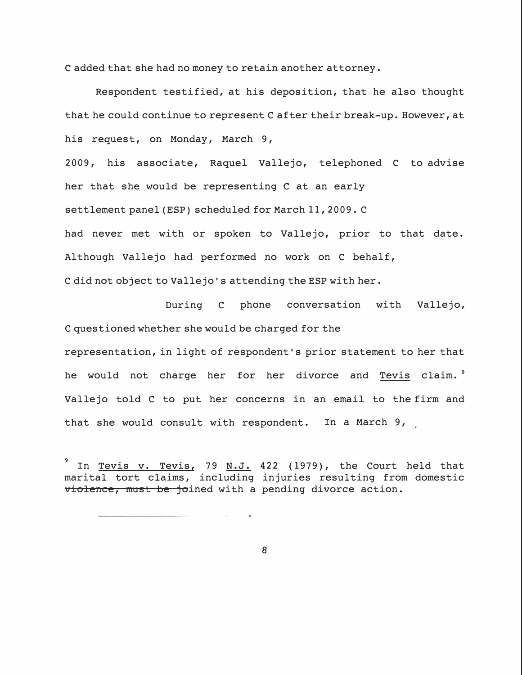C added that she had no money to retain another attorney.

Respondent testified, at his deposition, that he also thought that he could continue to represent C after their break-up. However, at his request, on Monday, March 9, 2009, his associate, Raquel Vallejo, telephoned C to advise her that she would be representing C at an early settlement panel (ESP) scheduled for March 11, 2009. C had never met with or spoken to Vallejo, prior to that date. Although Vallejo had performed no work on C behalf, C did not object to Vallejo' s attending the ESP with her.

During C phone conversation with Vallejo, C questioned whether she would be charged for the representation, in light of respondent's prior statement to her that

he would not charge her for her divorce and Tevis claim. **<sup>9</sup>** Vallejo told C to put her concerns in an email to the firm and that she would consult with respondent. In a March 9,

**9**  In Tevis v. Tevis, 79 N.J. 422 (1979), the Court held that marital tort claims, including injuries resulting from domestic violence, must be joined with a pending divorce action.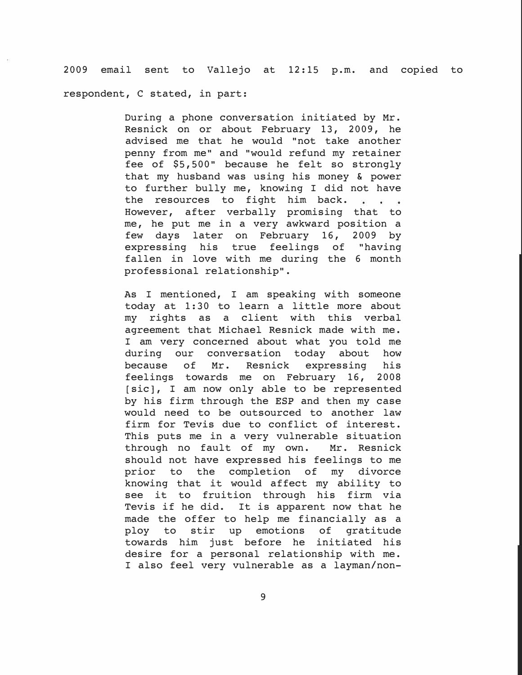2009 email sent to Vallejo at 12:15 p.m. and copied to respondent, C stated, in part:

> During a phone conversation initiated by Mr. Resnick on or about February 13, 2009, he advised me that he would "not take another penny from me" and "would refund my retainer fee of \$5,500" because he felt so strongly that my husband was using his money & power to further bully me, knowing I did not have the resources to fight him back. . . . However, after verbally promising that to me, he put me in a very awkward position a few days later on February 16, 2009 by expressing his true feelings of "having fallen in love with me during the 6 month professional relationship".

> As I mentioned, I am speaking with someone today at 1:30 to learn a little more about my rights as a client with this verbal agreement that Michael Resnick made with me. I am very concerned about what you told me<br>during our conversation today about how during our conversation today about how<br>because of Mr. Resnick expressing his expressing feelings towards me on February 16, 2008 [sic], I am now only able to be represented by his firm through the ESP and then my case would need to be outsourced to another law firm for Tevis due to conflict of interest. This puts me in a very vulnerable situation through no fault of my own. Mr. Resnick should not have expressed his feelings to me prior to the completion of my divorce knowing that it would affect my ability to see it to fruition through his firm via Tevis if he did. It is apparent now that he made the offer to help me financially as a<br>ploy to stir up emotions of gratitude ploy to stir up emotions of towards him just before he initiated his desire for a personal relationship with me. I also feel very vulnerable as a layman/non-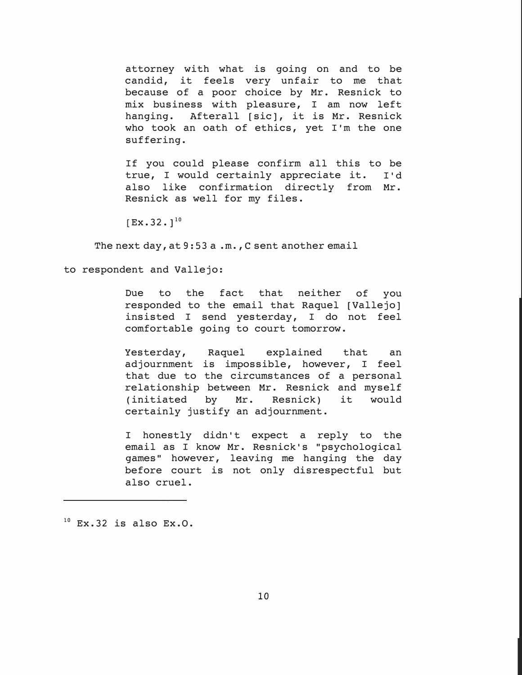attorney with what is going on and to be candid, it feels very unfair to me that because of a poor choice by Mr. Resnick to mix business with pleasure, I am now left hanging. Afterall [sic], it is Mr. Resnick who took an oath of ethics, yet I'm the one suffering.

If you could please confirm all this to be true, I would certainly appreciate it. I'd also like confirmation directly from Mr. Resnick as well for my files.

 $[Ex. 32. ]^{10}$ 

The next day, at 9:53 a .m., C sent another email

to respondent and Vallejo:

Due to the fact that neither of you responded to the email that Raquel [Vallejo] insisted I send yesterday, I do not feel comfortable going to court tomorrow.

Yesterday, Raquel explained that an adjournment is impossible, however, I feel that due to the circumstances of a personal relationship between Mr. Resnick and myself (initiated by Mr. Resnick) it would certainly justify an adjournment.

I honestly didn't expect a reply to the email as I know Mr. Resnick's "psychological games" however, leaving me hanging the day before court is not only disrespectful but also cruel.

 $10$  Ex.32 is also Ex.0.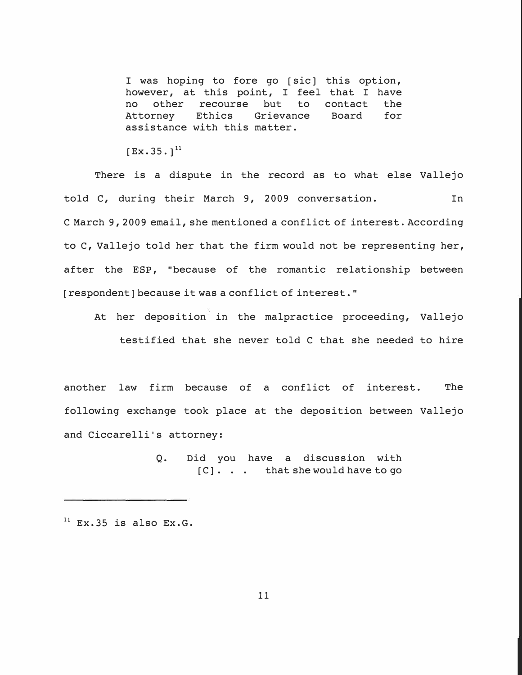I was hoping to fore go [sic] this option, however, at this point, I feel that I have<br>no other recourse but to contact the no other recourse but to contact the<br>Attorney Ethics Grievance Board for Grievance assistance with this matter.

 $[Ex.35.1]^{11}$ 

There is a dispute in the record as to what else Vallejo told C, during their March 9, 2009 conversation. In C March 9, 2009 email, she mentioned a conflict of interest. According to C, Vallejo told her that the firm would not be representing her, after the ESP, "because of the romantic relationship between [respondent] because it was a conflict of interest."

At her deposition in the malpractice proceeding, Vallejo testified that she never told C that she needed to hire

another law firm because of a conflict of interest. The following exchange took place at the deposition between Vallejo and Ciccarelli's attorney:

> Q. Did you have a discussion with [C] ... that she would have to go

 $11$  Ex.35 is also Ex.G.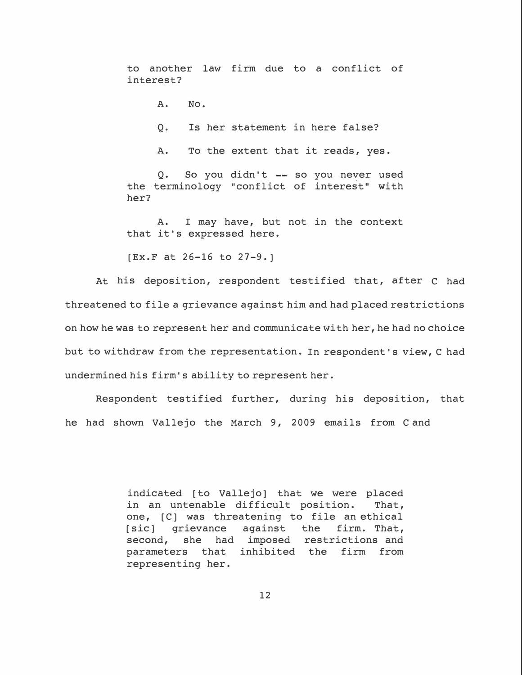to another law firm due to a conflict of interest?

**A. No.**

Q. Is her statement in here false?

A. To the extent that it reads, yes.

0. So you didn't  $-$  so you never used the terminology "conflict of interest" with her?

A. I may have, but not in the context that it's expressed here.

[Ex.F at 26-16 to 27-9.]

At his deposition, respondent testified that, after C had threatened to file a grievance against him and had placed restrictions on how he was to represent her and communicate with her, he had no choice but to withdraw from the representation. In respondent's view, C had undermined his firm's ability to represent her.

Respondent testified further, during his deposition, that he had shown Vallejo the March 9, 2009 emails from C and

> indicated [to Vallejo] that we were placed<br>in an untenable difficult position. That, in an untenable difficult position. one, [C] was threatening to file an ethical [sic] grievance against the firm. That, second, she had imposed restrictions and parameters that inhibited the firm from representing her.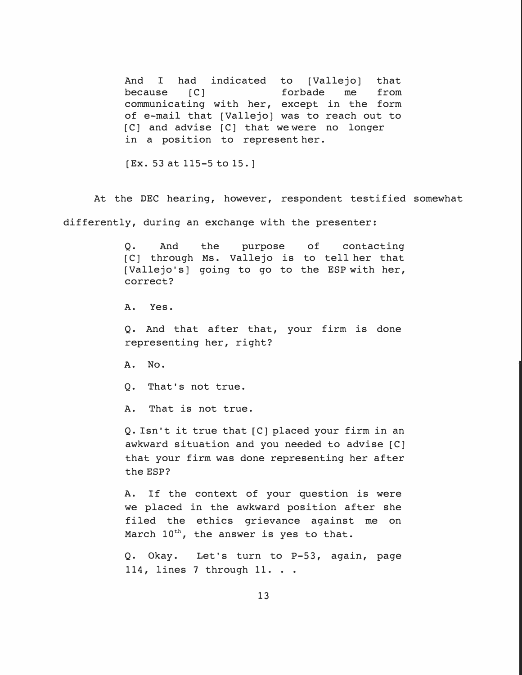And I had indicated to [Vallejo] that<br>because [C] forbade me from because [C] and forbade me from communicating with her, except in the form of e-mail that (Vallejo) was to reach out to [C] and advise [C] that we were no longer in a position to represent her.

(Ex. 53 at 115-5 to 15.]

At the DEC hearing, however, respondent testified somewhat differently, during an exchange with the presenter:

> **Q.** And the purpose of contacting [C] through Ms. Vallejo is to tell her that [Vallejo's] going to go to the ESP with her, correct?

A. Yes.

**Q.** And that after that, your firm is done representing her, right?

**A. No.**

Q. That's not true.

A. That is not true.

**Q.** Isn't it true that [C] placed your firm in an awkward situation and you needed to advise [C] that your firm was done representing her after the ESP?

**A.** If the context of your question is were we placed in the awkward position after she filed the ethics grievance against me on March  $10^{\text{th}}$ , the answer is yes to that.

Q. Okay. Let's turn to P-53, again, page 114, lines 7 through 11. . .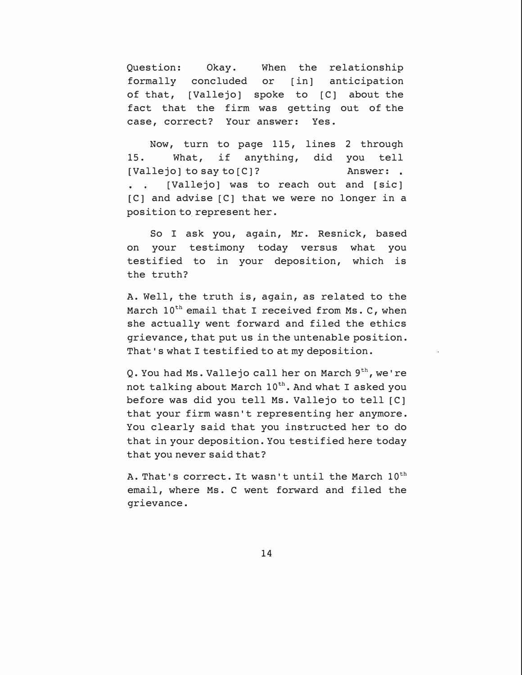Question: Okay. When the relationship formally concluded or [in] anticipation of that, [Vallejo] spoke to [C] about the fact that the firm was getting out of the case, correct? Your answer: Yes.

Now, turn to page 115, lines 2 through 15. What, if anything, did you tell [Vallejo] to say to [C]? Answer: [Vallejo] was to reach out and [sic]  $\ddot{\bullet}$  . The set of  $\ddot{\bullet}$ [C] and advise [C] that we were no longer in a position to represent her.

So I ask you, again, Mr. Resnick, based on your testimony today versus what you testified to in your deposition, which is the truth?

A. Well, the truth is, again, as related to the March  $10^{\text{th}}$  email that I received from Ms. C, when she actually went forward and filed the ethics grievance, that put us in the untenable position. That's what I testified to at my deposition.

Q. You had Ms. Vallejo call her on March  $9<sup>th</sup>$ , we're not talking about March  $10^{\text{th}}$ . And what I asked you before was did you tell Ms. Vallejo to tell [C] that your firm wasn't representing her anymore. You clearly said that you instructed her to do that in your deposition. You testified here today that you never said that?

A. That's correct. It wasn't until the March  $10^{\text{th}}$ email, where Ms. C went forward and filed the grievance.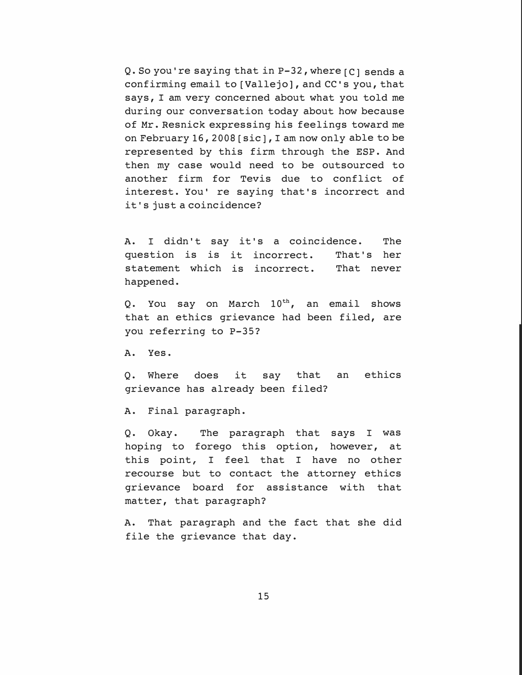Q. So you're saying that in P-32, where [C] sends a confirming email to [Vallejo], and CC's you, that says, I am very concerned about what you told me during our conversation today about how because of Mr. Resnick expressing his feelings toward me on February 16, 2008 [sic], I am now only able to be represented by this firm through the ESP. And then my case would need to be outsourced to another firm for Tevis due to conflict of interest. You' re saying that's incorrect and it's just a coincidence?

A. **I** didn't say it's a coincidence. The question is is it incorrect. That's her statement which is incorrect. That never happened.

Q. You say on March  $10^{\text{th}}$ , an email shows that an ethics grievance had been filed, are you referring to P-35?

A. Yes.

Q. Where does it say that an ethics grievance has already been filed?

A. Final paragraph.

Q. Okay. The paragraph that says **I** was hoping to forego this option, however, at this point, I feel that I have no other recourse but to contact the attorney ethics grievance board for assistance with that matter, that paragraph?

A. That paragraph and the fact that she did file the grievance that day.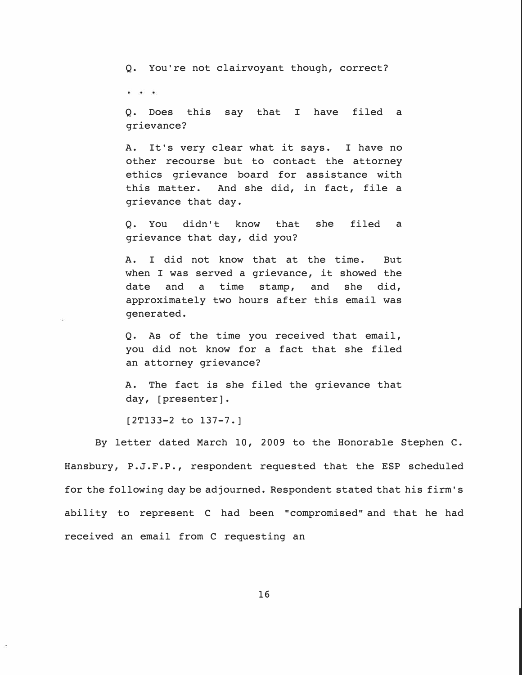Q. You're not clairvoyant though, correct?

 $\ddot{\phantom{1}}$ 

Q. Does this say that I have filed a grievance?

A. It's very clear what it says. I have no other recourse but to contact the attorney ethics grievance board for assistance with this matter. And she did, in fact, file a grievance that day.

Q. You didn't know that she filed a grievance that day, did you?

A. I did not know that at the time. But when I was served a grievance, it showed the date and a time stamp, and she did, approximately two hours after this email was generated.

Q. As of the time you received that email, you did not know for a fact that she filed an attorney grievance?

A. The fact is she filed the grievance that day, [presenter].

[2T133-2 to 137-7.]

By letter dated March 10, 2009 to the Honorable Stephen C. Hansbury, P.J.F.P., respondent requested that the ESP scheduled for the following day be adjourned. Respondent stated that his firm's ability to represent C had been "compromised" and that he had received an email from C requesting an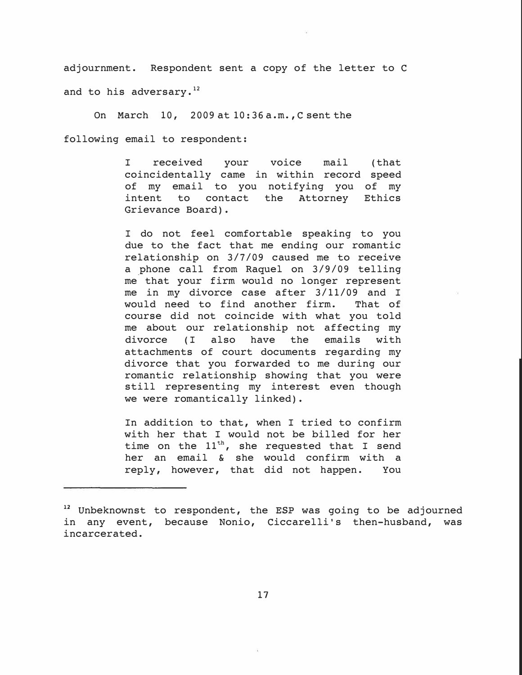**adjournment. Respondent sent a copy of the letter to C and to his adversary. <sup>12</sup>**

**On March** 10, 2009 **at** 10:36 **a.m., C sent the**  following email to respondent:

> **I received your voice mail coincidentally came in within record speed of my email to you notifying you of my intent to contact the Attorney Ethics Grievance Board). (that**

> **I do not feel comfortable speaking to you due to the fact that me ending our romantic relationship on** 3/7/09 **caused me to receive a \_phone call from Raquel on** 3/9/09 **telling me that your firm would no longer represent me in my divorce case after** 3/11/09 **and I**  would need to find another firm. **course did not coincide with what you told me about our relationship not affecting my divorce ( I also have the emails with attachments of court documents regarding my divorce that you forwarded to me during our romantic relationship showing that you were still representing my interest even though we were romantically linked).**

> **In addition to that, when I tried to confirm with her that I would not be billed for her**  time on the  $11^{th}$ , she requested that I send **her an email & she would confirm with a**  reply, however, that did not happen.

**<sup>12</sup>Unbeknownst to respondent, the ESP was going to be adjourned in any event, because Nonio, Ciccarelli's then-husband, was incarcerated.**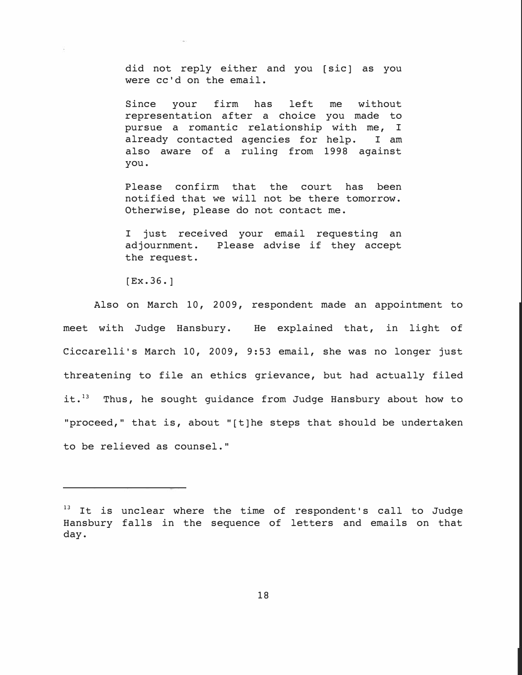did not reply either and you [sic] as you were cc'd on the email.

Since your firm has left me without representation after a choice you made to pursue a romantic relationship with me, I<br>already contacted agencies for help. I am already contacted agencies for help. also aware of a ruling from 1998 against you.

Please confirm that the court has been notified that we will not be there tomorrow. Otherwise, please do not contact me.

I just received your email requesting an adjournment. Please advise if they accept Please advise if they accept the request.

 $[Ex. 36.]$ 

Also on March 10, 2009, respondent made an appointment to meet with Judge Hansbury. He explained that, in light of Ciccarelli's March 10, 2009, 9:53 email, she was no longer just threatening to file an ethics grievance, but had actually filed it. $13$  Thus, he sought guidance from Judge Hansbury about how to "proceed," that is, about "[t]he steps that should be undertaken to be relieved as counsel."

 $13$  It is unclear where the time of respondent's call to Judge Hansbury falls in the sequence of letters and emails on that day.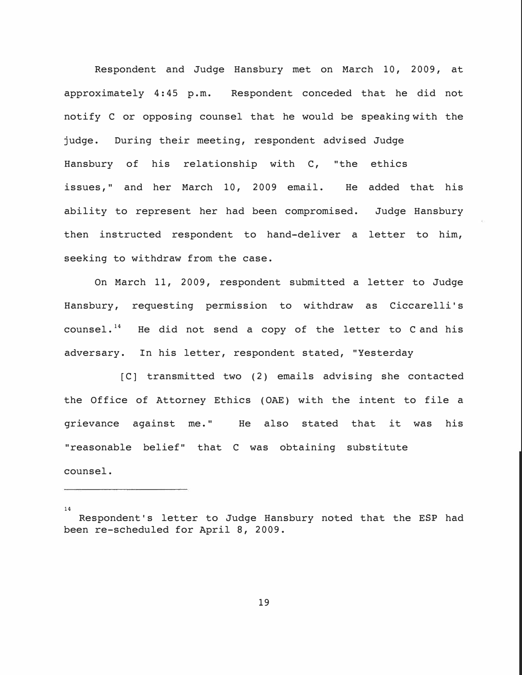Respondent and Judge Hansbury met on March 10, 2009, at approximately 4:45 p.m. Respondent conceded that he did not notify C or opposing counsel that he would be speaking with the judge. During their meeting, respondent advised Judge Hansbury of his relationship with C, "the ethics issues," and her March 10, 2009 email. He added that his ability to represent her had been compromised. Judge Hansbury then instructed respondent to hand-deliver a letter to him, seeking to withdraw from the case.

On March 11, 2009, respondent submitted a letter to Judge Hansbury, requesting permission to withdraw as Ciccarelli's counsel. $^{14}$  He did not send a copy of the letter to C and his adversary. In his letter, respondent stated, "Yesterday

[C] transmitted two (2) emails advising she contacted the Office of Attorney Ethics (OAE) with the intent to file a grievance against me." He also stated that it was his "reasonable belief" that C was obtaining substitute counsel.

14

Respondent's letter to Judge Hansbury noted that the ESP had been re-scheduled for April 8, 2009.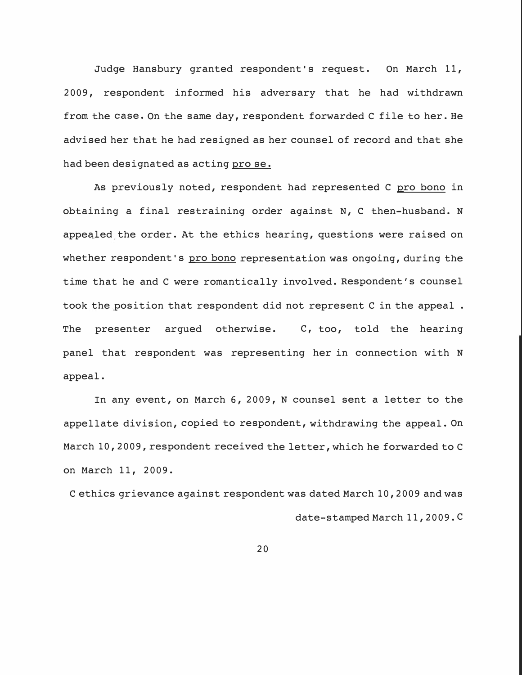Judge Hansbury granted respondent's request. On March 11, 2009, respondent informed his adversary that he had withdrawn from the case. On the same day, respondent forwarded C file to her. He advised her that he had resigned as her counsel of record and that she had been designated as acting pro se.

As previously noted, respondent had represented C pro bono in obtaining a final restraining order against N, C then-husband. N appealed the order. At the ethics hearing, questions were raised on whether respondent's pro bono representation was ongoing, during the time that he and C were romantically involved. Respondent's counsel took the position that respondent did not represent C in the appeal . The presenter argued otherwise. C, too, told the hearing panel that respondent was representing her in connection with N appeal.

In any event, on March 6, 2009, N counsel sent a letter to the appellate division, copied to respondent, withdrawing the appeal. On March 10, 2009, respondent received the letter, which he forwarded to C on March 11, 2009.

C ethics grievance against respondent was dated March 10, 2009 and was date-stamped March 11, 2009. C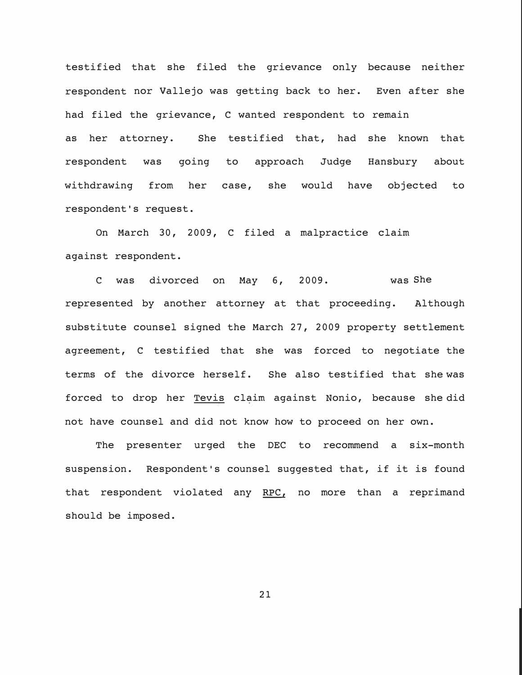testified that she filed the grievance only because neither respondent nor Vallejo was getting back to her. Even after she had filed the grievance, C wanted respondent to remain as her attorney. She testified that, had she known that respondent was going to approach Judge Hansbury about withdrawing from her case, she would have objected to respondent's request.

On March 30, 2009, C filed a malpractice claim against respondent.

represented by another attorney at that proceeding. C was divorced on May 6, 2009. was She Although substitute counsel signed the March 27, 2009 property settlement agreement, C testified that she was forced to negotiate the terms of the divorce herself. She also testified that she was forced to drop her Tevis claim against Nonio, because she did not have counsel and did not know how to proceed on her own.

The presenter urged the DEC to recommend a six-month suspension. Respondent's counsel suggested that, if it is found that respondent violated any RPC, no more than a reprimand should be imposed.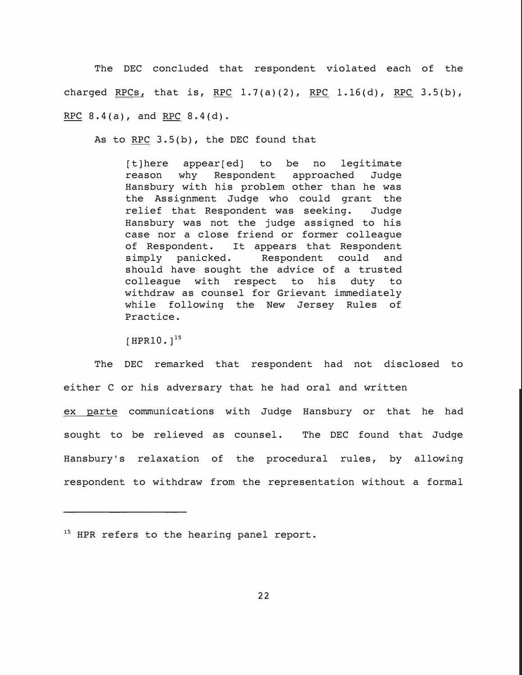The DEC concluded that respondent violated each of the charged RPCs, that is, RPC  $1.7(a)(2)$ , RPC  $1.16(d)$ , RPC  $3.5(b)$ , **RPC 8.4(a), and RPC 8.4(d).** 

As to RPC 3.S(b), the DEC found that

[t)here appear[ed) to be no legitimate reason why Respondent approached Judge Hansbury with his problem other than he was the Assignment Judge who could grant the relief that Respondent was seeking. Judge Hansbury was not the judge assigned to his case nor a close friend or former colleague of Respondent. It appears that Respondent<br>simply panicked. Respondent could and Respondent could and should have sought the advice of a trusted colleague with respect to his duty to withdraw as counsel for Grievant immediately while following the New Jersey Rules of Practice.

[HPR10.]<sup>15</sup>

The DEC remarked that respondent had not disclosed to either C or his adversary that he had oral and written ex parte communications with Judge Hansbury or that he had sought to be relieved as counsel. The DEC found that Judge Hansbury's relaxation of the procedural rules, by allowing respondent to withdraw from the representation without a formal

<sup>&</sup>lt;sup>15</sup> HPR refers to the hearing panel report.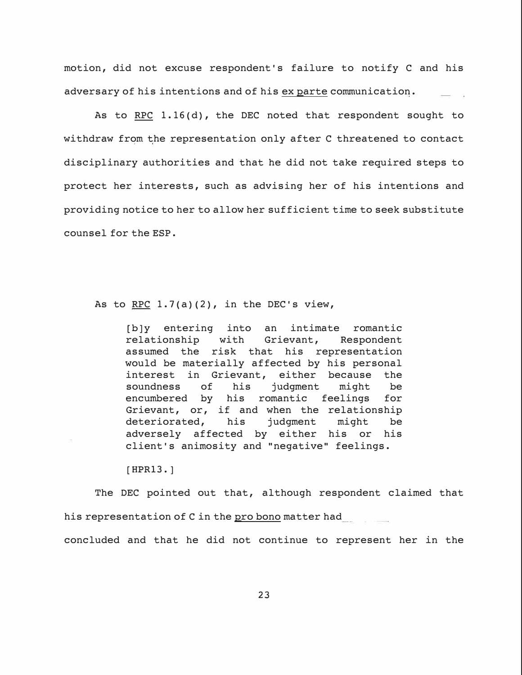motion, did not excuse respondent's failure to notify C and his adversary of his intentions and of his ex parte communication.

As to RPC 1.16(d), the DEC noted that respondent sought to withdraw from the representation only after C threatened to contact disciplinary authorities and that he did not take required steps to protect her interests, such as advising her of his intentions and providing notice to her to allow her sufficient time to seek substitute counsel for the ESP.

As to  $RPC$  1.7(a)(2), in the DEC's view,

[b]y entering into an intimate romantic<br>relationship with Grievant, Respondent Grievant, Respondent assumed the risk that his representation would be materially affected by his personal interest in Grievant, either because the<br>soundness of his judgment might be judgment might be encumbered by his romantic feelings for Grievant, or, if and when the relationship<br>deteriorated, his judgment might be deteriorated, adversely affected by either his or his client's animosity and "negative" feelings.

**[HPR13.]** 

The DEC pointed out that, although respondent claimed that his representation of C in the pro bono matter had concluded and that he did not continue to represent her in the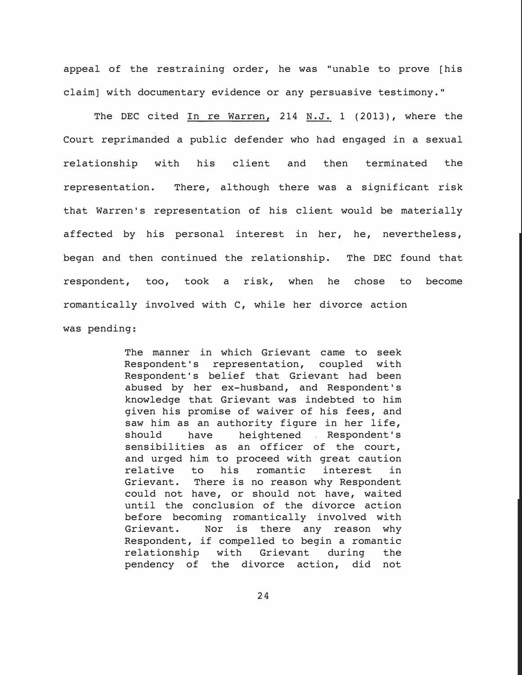appeal of the restraining order, he was "unable to prove [his claim] with documentary evidence or any persuasive testimony."

The DEC cited  $In$  re Warren, 214  $M.J. 1$  (2013), where the Court reprimanded a public defender who had engaged in a sexual relationship with his client and then terminated the representation. There, although there was a significant risk that Warren's representation of his client would be materially affected by his personal interest in her, he, nevertheless, began and then continued the relationship. The DEC found that respondent, too, took a risk, when he chose to become romantically involved with C, while her divorce action was pending:

> The manner in which Grievant came to seek<br>Respondent's representation, coupled with Respondent's representation, coupled Respondent's belief that Grievant had been abused by her ex-husband, and Respondent's knowledge that Grievant was indebted to him given his promise of waiver of his fees, and saw him as an authority figure in her life,<br>should have heightened Respondent's heightened Respondent's sensibilities as an officer of the court, and urged him to proceed with great caution<br>relative to his romantic interest in romantic interest in Grievant. There is no reason why Respondent could not have, or should not have, waited until the conclusion of the divorce action before becoming romantically involved with<br>Grievant. Nor is there any reason why Nor is there any reason why Respondent, if compelled to begin a romantic<br>relationship with Grievant during the relationship with Grievant during the<br>pendency of the divorce action, did not pendency of the divorce action,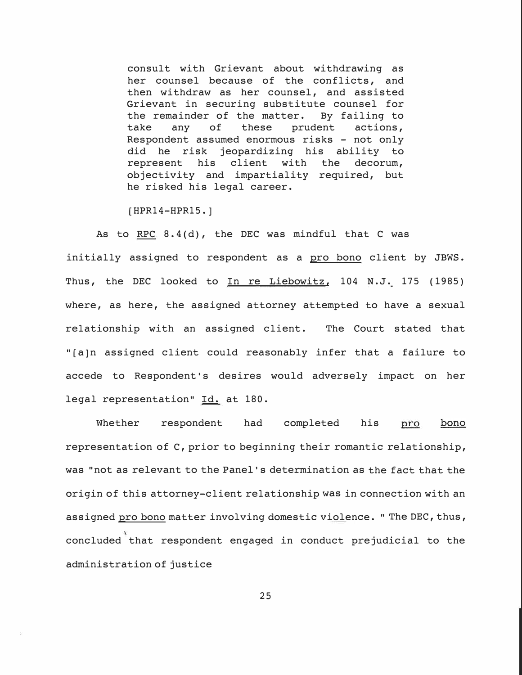consult with Grievant about withdrawing as her counsel because of the conflicts, and then withdraw as her counsel, and assisted Grievant in securing substitute counsel for the remainder of the matter. By failing to<br>take any of these prudent actions, prudent Respondent assumed enormous risks - not only did he risk jeopardizing his ability to represent his client with the decorum, objectivity and impartiality required, but he risked his legal career.

[HPR14-HPR15.]

As to RPC 8.4(d), the DEC was mindful that C was initially assigned to respondent as a pro bono client by JBWS. Thus, the DEC looked to In re Liebowitz, 104 N.J. 175 (1985) where, as here, the assigned attorney attempted to have a sexual relationship with an assigned client. The Court stated that " [a] n assigned client could reasonably infer that a failure to accede to Respondent's desires would adversely impact on her legal representation" Id. at 180.

Whether respondent had completed his bono pro representation of C, prior to beginning their romantic relationship, was "not as relevant to the Panel's determination as the fact that the origin of this attorney-client relationship was in connection with an assigned pro bono matter involving domestic violence. " The DEC, thus, concluded that respondent engaged in conduct prejudicial to the administration of justice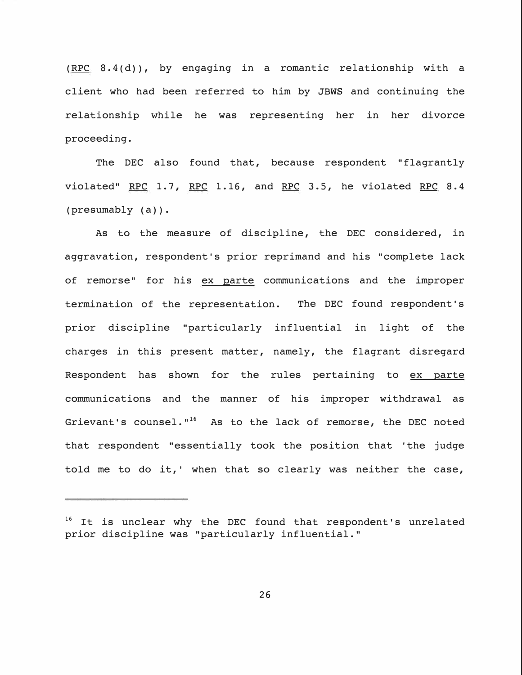**( RPC 8. 4 ( d} } , by engaging in a romantic relationship with a client who had been referred to him by JBWS and continuing the relationship while he was representing her in her divorce proceeding.** 

**The DEC also found that, because respondent "flagrantly violated" RPC 1.7, RPC 1.16, and RPC 3.5, he violated RPC 8.4 (presumably (a)).** 

**As to the measure of discipline, the DEC considered, in aggravation, respondent's prior reprimand and his "complete lack of remorse" for his ex parte communications and the improper termination of the representation. The DEC found respondent's prior discipline "particularly influential in light of the charges in this present matter, namely, the flagrant disregard Respondent has shown for the rules pertaining to ex parte communications and the manner of his improper withdrawal as**  Grievant's counsel."<sup>16</sup> As to the lack of remorse, the DEC noted **that respondent "essentially took the position that 'the judge told me to do it, ' when that so clearly was neither the case,** 

<sup>16</sup>**It is unclear why the DEC found that respondent's unrelated prior discipline was "particularly influential."**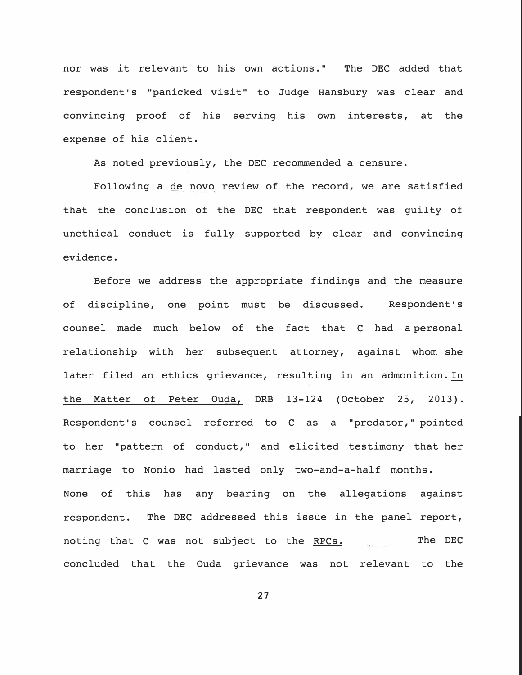nor was it relevant to his own actions. " The DEC added that respondent's "panicked visit" to Judge Hansbury was clear and convincing proof of his serving his own interests, at the expense of his client.

As noted previously, the DEC recommended a censure.

Following a de novo review of the record, we are satisfied that the conclusion of the DEC that respondent was guilty of unethical conduct is fully supported by clear and convincing evidence.

Before we address the appropriate findings and the measure of discipline, one point must be discussed. Respondent's counsel made much below of the fact that C had a personal relationship with her subsequent attorney, against whom she later filed an ethics grievance, resulting in an admonition. In the Matter of Peter Ouda, DRB 13-124 (October 25, 2013). Respondent's counsel referred to C as a "predator," pointed to her "pattern of conduct," and elicited testimony that her marriage to Nonio had lasted only two-and-a-half months. None of this has any bearing on the allegations against respondent. The DEC addressed this issue in the panel report, noting that C was not subject to the RPCs. **The DEC**  concluded that the Ouda grievance was not relevant to the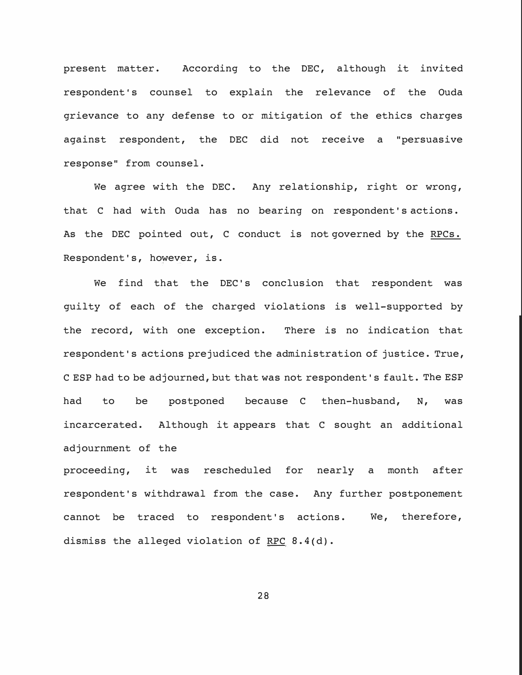present matter. According to the DEC, although it invited respondent's counsel to explain the relevance of the Ouda grievance to any defense to or mitigation of the ethics charges against respondent, the DEC *did* not receive a "persuasive response" from counsel.

We agree with the DEC. Any relationship, right or wrong, that C had with Ouda has no bearing on respondent's actions. As the DEC pointed out, C conduct is not governed by the RPCs. Respondent's, however, *is.*

we find that the DEC's conclusion that respondent was guilty of each of the charged violations *is* well-supported by the record, with one exception. There *is* no indication that respondent's actions prejudiced the administration of justice. True, C ESP had to be adjourned, but that was not respondent's fault. The ESP had to be postponed because C then-husband, N, was incarcerated. Although it appears that C sought an additional adjournment of the

proceeding, it was rescheduled for nearly a month after respondent's withdrawal from the case. Any further postponement cannot be traced to respondent's actions. dismiss the alleged violation of RFC 8.4(d). We, therefore,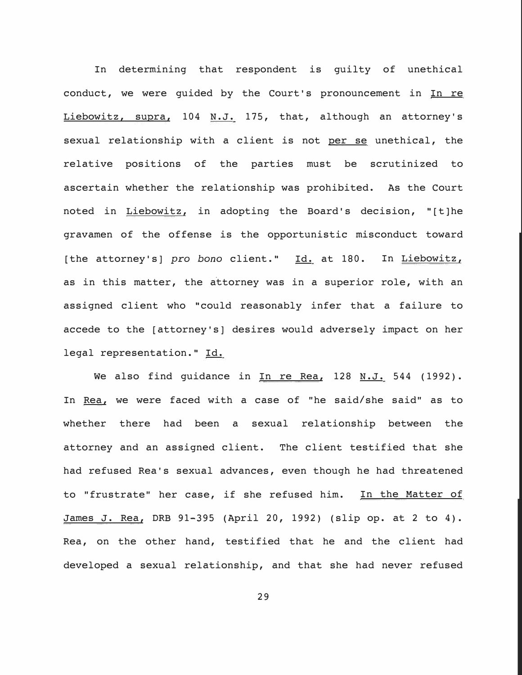In determining that respondent is guilty of unethical conduct, we were guided by the Court's pronouncement in  $In re$ Liebowitz, supra, 104 N.J. 175, that, although an attorney's sexual relationship with a client is not per se unethical, the relative positions of the parties must be scrutinized to ascertain whether the relationship was prohibited. As the Court noted in Liebowitz, in adopting the Board's decision, "[t]he gravamen of the offense is the opportunistic misconduct toward [the attorney's] *pro bono* client." Id. at 180. In Liebowitz, as in this matter, the attorney was in a superior role, with an assigned client who "could reasonably infer that a failure to accede to the [attorney's] desires would adversely impact on her legal representation." Id.

We also find guidance in In re Rea, 128 N.J. 544 (1992). In Rea, we were faced with a case of "he said/she said" as to whether there had been a sexual relationship between the attorney and an assigned client. The client testified that she had refused Rea's sexual advances, even though he had threatened to "frustrate" her case, if she refused him. In the Matter of James J. Rea, DRB 91-395 (April 20, 1992) (slip op. at 2 to 4). Rea, on the other hand, testified that he and the client had developed a sexual relationship, and that she had never refused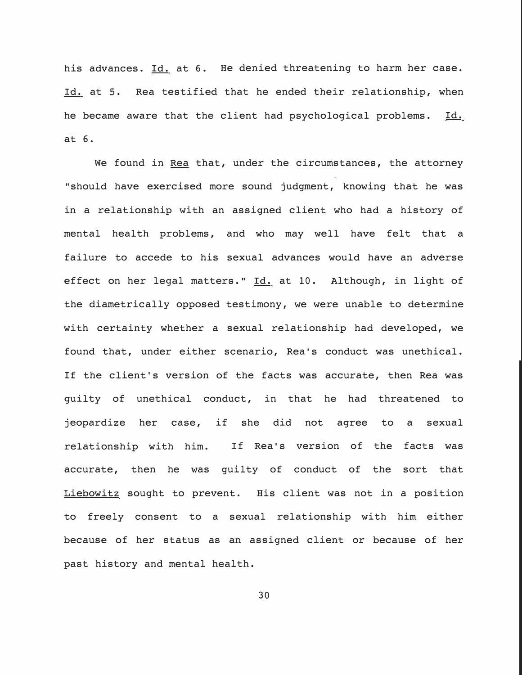his advances. Id. at 6. He denied threatening to harm her case. Id. at 5. Rea testified that he ended their relationship, when he became aware that the client had psychological problems. Id. at 6.

We found in Rea that, under the circumstances, the attorney "should have exercised more sound judgment, knowing that he was in a relationship with an assigned client who had a history of mental health problems, and who may well have felt that a failure to accede to his sexual advances would have an adverse effect on her legal matters." Id. at 10. Although, in light of the diametrically opposed testimony, we were unable to determine with certainty whether a sexual relationship had developed, we found that, under either scenario, Rea's conduct was unethical. If the client's version of the facts was accurate, then Rea was guilty of unethical conduct, in that he had threatened to jeopardize her case, if she did not agree to a sexual relationship with him. If Rea's version of the facts was accurate, then he was guilty of conduct of the sort that Liebowitz sought to prevent. His client was not in a position to freely consent to a sexual relationship with him either because of her status as an assigned client or because of her past history and mental health.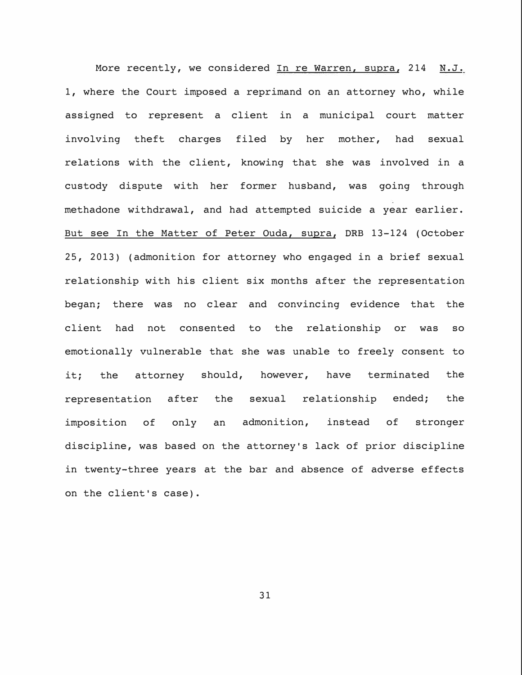More recently, we considered In re Warren, supra, 214 N.J. 1, where the Court imposed a reprimand on an attorney who, while assigned to represent a client in a municipal court matter involving theft charges filed by her mother, had sexual relations with the client, knowing that she was involved in a custody dispute with her former husband, was going through methadone withdrawal, and had attempted suicide a year earlier. But see In the Matter of Peter Ouda, supra, ORB 13-124 (October 25, 2013) (admonition for attorney who engaged in a brief sexual relationship with his client six months after the representation began; there was no clear and convincing evidence that the client had not consented to the relationship or was so emotionally vulnerable that she was unable to freely consent to it; the attorney should, however, have terminated the representation after the sexual relationship ended; the imposition of only an admonition, instead of stronger discipline, was based on the attorney's lack of prior discipline in twenty-three years at the bar and absence of adverse effects on the client's case).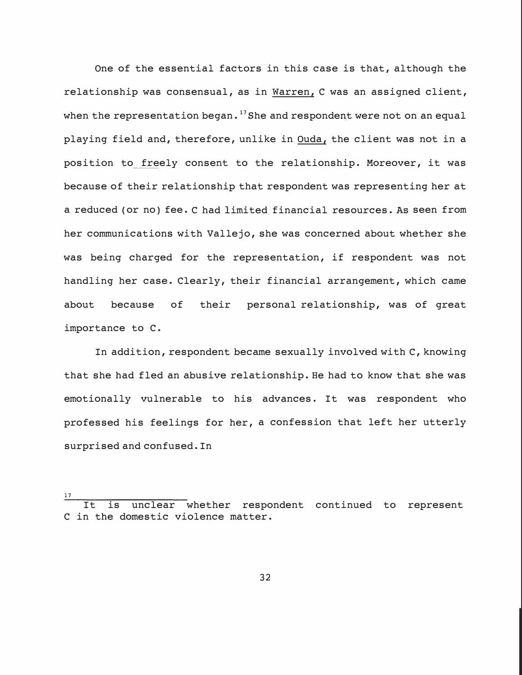One of the essential factors in this case is that, although the relationship was consensual, as in Warren, C was an assigned client, when the representation began.<sup>17</sup> She and respondent were not on an equal playing field and, therefore, unlike in Ouda, the client was not in a position to freely consent to the relationship. Moreover, it was because of their relationship that respondent was representing her at a reduced (or no) fee. C had limited financial resources. **As** seen from her communications with Vallejo, she was concerned about whether she was being charged for the representation, if respondent was not handling her case. Clearly, their financial arrangement, which came about because of their personal relationship, was of great importance to C.

In addition, respondent became sexually involved with C, knowing that she had fled an abusive relationship. He had to know that she was emotionally vulnerable to his advances. It was respondent who professed his feelings for her, a confession that left her utterly surprised and confused. In

<sup>17</sup>  It is unclear whether respondent continued to represent C in the domestic violence matter.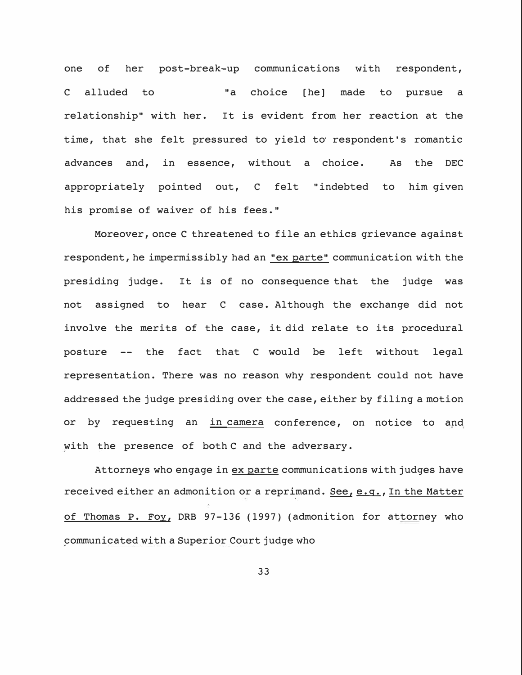one of her post-break-up communications with respondent, C alluded to "a choice [he] made to pursue a relationship" with her. It is evident from her reaction at the time, that she felt pressured to yield to respondent's romantic advances and, in essence, without a choice. As the DEC appropriately pointed out, C felt "indebted to him given his promise of waiver of his fees."

Moreover, once C threatened to file an ethics grievance against respondent, he impermissibly had an "ex parte" communication with the presiding judge. It is of no consequence that the judge was not assigned to hear C case. Although the exchange did not involve the merits of the case, it did relate to its procedural posture -- the fact that C would be left without legal representation. There was no reason why respondent could not have addressed the judge presiding over the case, either by filing a motion or by requesting an in camera conference, on notice to and with the presence of both C and the adversary.

Attorneys who engage in ex parte communications with judges have received either an admonition or a reprimand. See, e.g., In the Matter of Thomas P. Foy, ORB 97-136 (1997) (admonition for attorney who communicated with a Superior Court judge who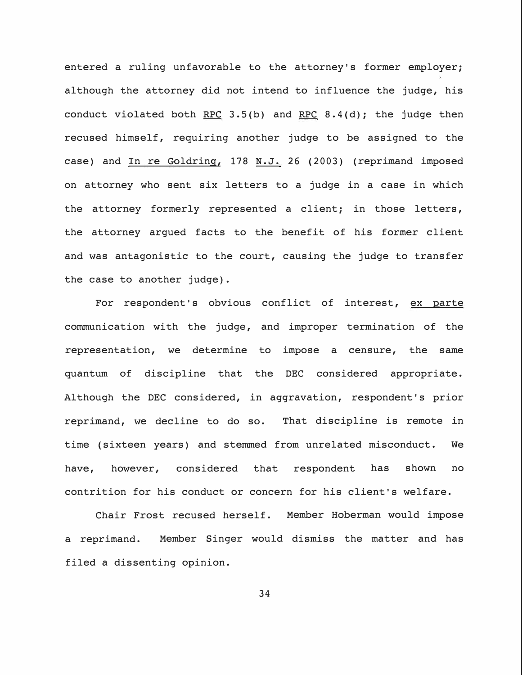entered a ruling unfavorable to the attorney's former employer; although the attorney did not intend to influence the judge, his conduct violated both RPC  $3.5(b)$  and RPC  $8.4(d)$ ; the judge then recused himself, requiring another judge to be assigned to the case) and In re Goldring, 178 N.J. 26 (2003) (reprimand imposed on attorney who sent six letters to a judge in a case in which the attorney formerly represented a client; in those letters, the attorney argued facts to the benefit of his former client and was antagonistic to the court, causing the judge to transfer the case to another judge).

For respondent's obvious conflict of interest, ex parte communication with the judge, and improper termination of the representation, we determine to impose a censure, the same quantum of discipline that the DEC considered appropriate. Although the DEC considered, in aggravation, respondent's prior reprimand, we decline to do so. That discipline is remote in time (sixteen years) and stemmed from unrelated misconduct. We have, however, considered that respondent has shown no contrition for his conduct or concern for his client's welfare.

Chair Frost recused herself. Member Hoberman would impose a reprimand. Member Singer would dismiss the matter and has filed a dissenting opinion.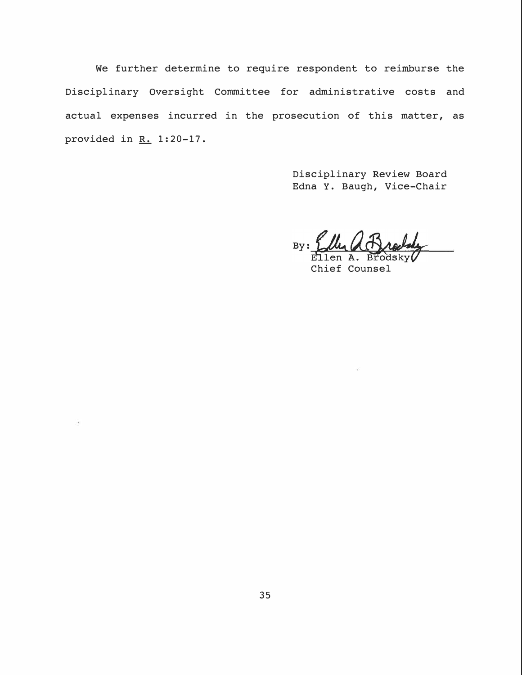We further determine to require respondent to reimburse the Disciplinary Oversight Committee for administrative costs and actual expenses incurred in the prosecution of this matter, as provided in  $R. 1:20-17$ .

> Disciplinary Review Board Edna Y. Baugh, Vice-Chair

By: Ellen Ellen A. dskv

Chief Counsel

ü